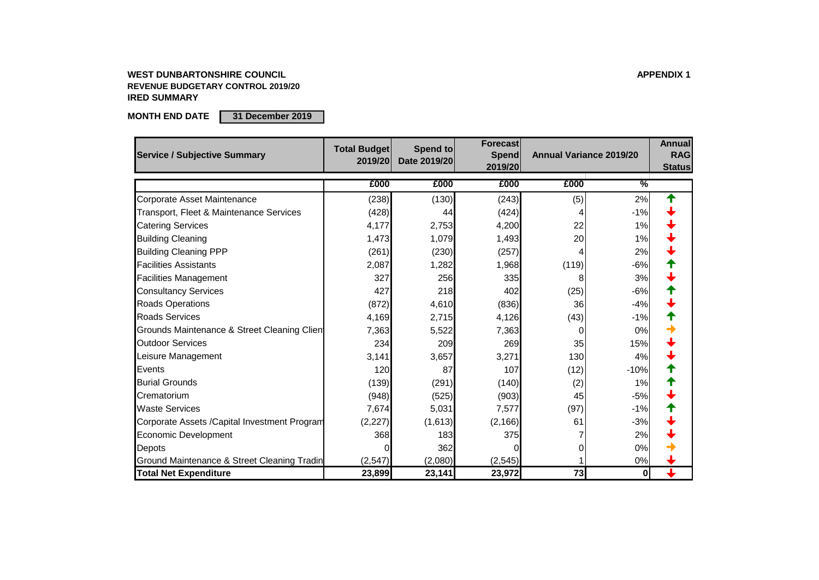#### **WEST DUNBARTONSHIRE COUNCIL APPENDIX 1 REVENUE BUDGETARY CONTROL 2019/20 IRED SUMMARY**

**MONTH END DATE 31 December 2019**

| <b>Service / Subjective Summary</b>                | <b>Total Budget</b><br>2019/20 | Spend to<br>Date 2019/20 | Forecast<br><b>Spend</b><br>2019/20 | <b>Annual Variance 2019/20</b> |                  | <b>Annual</b><br><b>RAG</b><br><b>Status</b> |
|----------------------------------------------------|--------------------------------|--------------------------|-------------------------------------|--------------------------------|------------------|----------------------------------------------|
|                                                    | £000                           | £000                     | £000                                | £000                           | $\frac{9}{6}$    |                                              |
| <b>Corporate Asset Maintenance</b>                 | (238)                          | (130)                    | (243)                               | (5)                            | 2%               |                                              |
| <b>Transport, Fleet &amp; Maintenance Services</b> | (428)                          | 44                       | (424)                               |                                | $-1%$            |                                              |
| <b>Catering Services</b>                           | 4,177                          | 2,753                    | 4,200                               | 22                             | 1%               |                                              |
| <b>Building Cleaning</b>                           | 1,473                          | 1,079                    | 1,493                               | 20                             | 1%               |                                              |
| <b>Building Cleaning PPP</b>                       | (261)                          | (230)                    | (257)                               |                                | 2%               |                                              |
| <b>Facilities Assistants</b>                       | 2,087                          | 1,282                    | 1,968                               | (119)                          | $-6%$            |                                              |
| <b>Facilities Management</b>                       | 327                            | 256                      | 335                                 | 8                              | 3%               |                                              |
| <b>Consultancy Services</b>                        | 427                            | 218                      | 402                                 | (25)                           | $-6%$            |                                              |
| <b>Roads Operations</b>                            | (872)                          | 4,610                    | (836)                               | 36                             | $-4%$            |                                              |
| <b>Roads Services</b>                              | 4,169                          | 2,715                    | 4,126                               | (43)                           | $-1%$            |                                              |
| Grounds Maintenance & Street Cleaning Clien        | 7,363                          | 5,522                    | 7,363                               | $\left($                       | 0%               |                                              |
| <b>Outdoor Services</b>                            | 234                            | 209                      | 269                                 | 35                             | 15%              |                                              |
| Leisure Management                                 | 3,141                          | 3,657                    | 3,271                               | 130                            | 4%               |                                              |
| Events                                             | 120                            | 87                       | 107                                 | (12)                           | $-10%$           |                                              |
| <b>Burial Grounds</b>                              | (139)                          | (291)                    | (140)                               | (2)                            | 1%               |                                              |
| Crematorium                                        | (948)                          | (525)                    | (903)                               | 45                             | $-5%$            |                                              |
| <b>Waste Services</b>                              | 7,674                          | 5,031                    | 7,577                               | (97)                           | $-1%$            |                                              |
| Corporate Assets / Capital Investment Program      | (2,227)                        | (1,613)                  | (2, 166)                            | 61                             | $-3%$            |                                              |
| <b>Economic Development</b>                        | 368                            | 183                      | 375                                 |                                | 2%               |                                              |
| Depots                                             |                                | 362                      |                                     |                                | 0%               |                                              |
| Ground Maintenance & Street Cleaning Tradin        | (2,547)                        | (2,080)                  | (2, 545)                            |                                | 0%               |                                              |
| <b>Total Net Expenditure</b>                       | 23,899                         | 23,141                   | 23,972                              | 73                             | $\boldsymbol{0}$ | L                                            |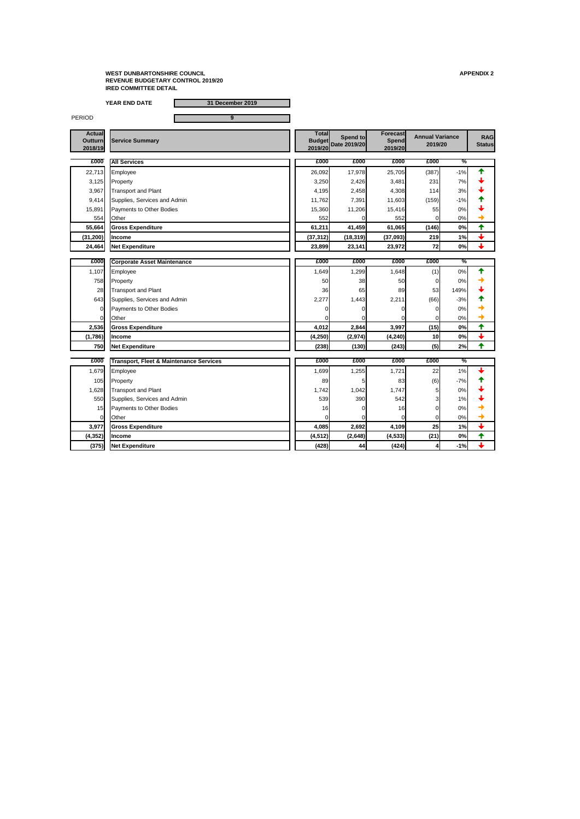**YEAR END DATE 31 December 2019**

PERIOD **9** 

105 Property 2008 105 Property 2008 105 89 83  $(6)$  -7%  $\rightarrow$ 1,628 Transport and Plant 1,628 Transport and Plant 550 Supplies, Services and Admin Note 1, 1990 539 542 542 3 1% 539 15 Payments to Other Bodies 16 0 16 0 0%  $\begin{array}{|c|c|c|c|c|c|}\hline \text{Other} & & & \text{otherwise} \end{array}$ **3,977 Gross Expenditure 4,085 2,692 4,109 25 1%**

**Actual Outturn 2018/19 Total Budget 2019/20 Date 2019/20 Spend to Forecast Spend 2019/20 RAG Status £000 £000 £000 £000 £000 %** 22,713 Employee 26,092 17,978 25,705 (387) -1% 3,125 Property 231 Property 2,426 2,426 2,481 231 7%  $\frac{1}{3}$ 3,967 Transport and Plant  $\begin{array}{|c|c|c|c|c|c|c|c|} \hline \end{array}$  4,195  $\begin{array}{|c|c|c|c|c|c|c|} \hline 4,308 & 4,308 & 114 & 3\% \hline \end{array}$ 9,414 Supplies, Services and Admin 11,762 7,391 11,603 (159) -1% 15,891 Payments to Other Bodies 15,360 11,206 15,416 55 0% 554 Other contracts and the contracts of the state of the state of the state of the state of  $552$  of  $0\leq$   $0\leq$   $0\leq$ **55,664 Gross Expenditure 61,211 41,459 61,065 (146) 0% (31,200) Income (37,312) (18,319) (37,093) 219 1% 24,464 Net Expenditure 23,899 23,141 23,972 72 0% £000 £000 £000 £000 £000 % Corporate Asset Maintenance**  1,107 Employee 1,649 1,299 1,648 (1) 0% 758 Property 50 38 50 0 0% <del>→</del> 28 Transport and Plant  $\begin{array}{|c|c|c|c|c|c|}\n\hline\n&36 & 65 & 89 & 53 & 149\% \\\hline\n\end{array}$ 643 Supplies, Services and Admin 2,277 1,443 2,211 (66)  $\left| \begin{array}{ccc} 1 & 2.277 & 1,443 \end{array} \right|$  2,211 (66)  $\left| \begin{array}{ccc} -3\% & -3\% \end{array} \right|$ 0 Payments to Other Bodies 0 0 0 0 0%  $\begin{array}{|c|c|c|c|c|c|}\hline \text{Other} & & & \text{other} & \text{other} & \text{other} & \text{other} & \text{other} & \text{other} & \text{other} & \text{other} & \text{other} & \text{other} & \text{other} & \text{other} & \text{other} & \text{other} & \text{other} & \text{other} & \text{other} & \text{other} & \text{other} & \text{other} & \text{other} & \text{other} & \text{other} & \text{other} & \text{other} & \text{other} & \text{other} & \text{other} & \text{other} & \text{other} & \text{other} & \text{other}$ **2,536 Gross Expenditure 4,012 2,844 3,997 (15) 0% (1,786) Income (4,250) (2,974) (4,240) 10 0% 750 Net Expenditure (238) (130) (243) (5) 2% £000 £000 £000 £000 £000 % Transport, Fleet & Maintenance Services**1,679 Employee 1,699 1,255 1,721 22 1% Service Summary **Annual Variance Summary Construction of the Service Summary of Annual Variance Service Summary 2019/20 All Services**

|          |                 | .       | -----   | .        | --   | .     |  |
|----------|-----------------|---------|---------|----------|------|-------|--|
| (4, 352) | <b>Income</b>   | (4,512) | (2,648) | (4, 533) | (21) | $0\%$ |  |
| (375)    | Net Expenditure | (428)   | 44      | (424)    |      | 1%    |  |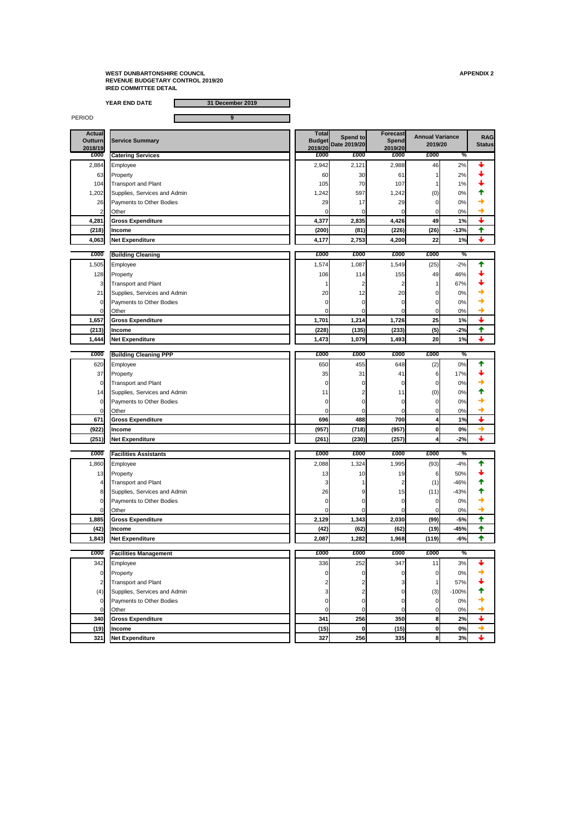**YEAR END DATE 31 December 2019**

PERIOD **9** 

**Actual** 

**Total** 

| <b>Actual</b><br><b>Outturn</b><br>2018/19 | <b>Service Summary</b>          | <u>i</u> otal<br><b>Budget</b><br>2019/20 | Spend to<br>Date 2019/20 | <b>Forecast</b><br><b>Spend</b><br>2019/20 | <b>Annual Variance</b><br>2019/20 |               | <b>RAG</b><br><b>Status</b> |
|--------------------------------------------|---------------------------------|-------------------------------------------|--------------------------|--------------------------------------------|-----------------------------------|---------------|-----------------------------|
| £000                                       | <b>Catering Services</b>        | £000                                      | £000                     | £000                                       | £000                              | ℅             |                             |
| 2,884                                      | Employee                        | 2,942                                     | 2,121                    | 2,988                                      | 46                                | 2%            |                             |
| 63                                         | Property                        | 60                                        | 30                       | 61                                         |                                   | 2%            |                             |
| 104                                        | <b>Transport and Plant</b>      | 105                                       | 70                       | 107                                        |                                   | 1%            |                             |
| 1,202                                      | Supplies, Services and Admin    | 1,242                                     | 597                      | 1,242                                      | (0)                               | 0%            |                             |
| 26                                         | Payments to Other Bodies        | 29                                        | 17                       | 29                                         | $\Omega$                          | 0%            |                             |
|                                            | Other                           |                                           |                          |                                            | 0                                 | $0\%$         |                             |
| 4,281                                      | <b>Gross Expenditure</b>        | 4,377                                     | 2,835                    | 4,426                                      | 49                                | 1%            | $\ddag$                     |
| (218)                                      | <b>Income</b>                   | (200)                                     | (81)                     | (226)                                      | (26)                              | $-13%$        | 个                           |
| 4,063                                      | <b>Net Expenditure</b>          | 4,177                                     | 2,753                    | 4,200                                      | 22                                | 1%            | $\overline{\mathbf{t}}$     |
| £000                                       | <b>Building Cleaning</b>        | £000                                      | £000                     | £000                                       | £000                              | $\frac{0}{6}$ |                             |
| 1,505                                      | Employee                        | 1,574                                     | 1,087                    | 1,549                                      | (25)                              | $-2%$         |                             |
| 128                                        | Property                        | 106                                       | 114                      | 155                                        | 49                                | 46%           |                             |
| $\overline{3}$                             | <b>Transport and Plant</b>      |                                           |                          |                                            |                                   | 67%           |                             |
| 21                                         | Supplies, Services and Admin    | 20                                        | 12                       | 20                                         | 0                                 | 0%            |                             |
| $\Omega$                                   | <b>Payments to Other Bodies</b> |                                           |                          |                                            | 0                                 | 0%            |                             |
| Οl                                         | Other                           |                                           |                          |                                            | 0                                 | 0%            | ┱                           |
| 1,657                                      | <b>Gross Expenditure</b>        | 1,701                                     | 1,214                    | 1,726                                      | 25                                | 1%            | $\color{red} \downarrow$    |
| (213)                                      | <b>Income</b>                   | (228)                                     | (135)                    | (233)                                      | (5)                               | $-2%$         | 个                           |
| 1,444                                      | <b>Net Expenditure</b>          | 1,473                                     | 1,079                    | 1,493                                      | 20                                | 1%            | $\downarrow$                |
| £000                                       | <b>Building Cleaning PPP</b>    | £000                                      | £000                     | £000                                       | £000                              | $\%$          |                             |
| 620                                        | Employee                        | 650                                       | 455                      | 648                                        | (2)                               | 0%            |                             |
| 37                                         | Property                        | 35                                        | 31                       | 41                                         | 6                                 | 17%           |                             |
| $\overline{0}$                             | Transport and Plant             |                                           |                          |                                            | 0                                 | 0%            |                             |
| 14                                         | Supplies, Services and Admin    | 11                                        |                          | 11                                         | (0)                               | 0%            |                             |
| $\Omega$                                   | Payments to Other Bodies        |                                           |                          |                                            | 0                                 | 0%            |                             |
| 01                                         | Other                           |                                           |                          |                                            | $\overline{0}$                    | 0%            |                             |
| 671                                        | <b>Gross Expenditure</b>        | 696                                       | 488                      | 700                                        | 4                                 | 1%            |                             |
|                                            |                                 |                                           |                          |                                            |                                   |               |                             |

**Forecast** 

| (922) | <b>Income</b>                | (957) | (718) | (957)         | ΩI | $0\%$     |  |
|-------|------------------------------|-------|-------|---------------|----|-----------|--|
| (251) | .<br>Expenditure<br>⊥ INet ∶ | (261) | (230) | (257)<br>14 V |    | -2% <br>. |  |

| £000  | <b>Facilities Assistants</b>    | £000  | £000            | £000            | £000  | %      |  |
|-------|---------------------------------|-------|-----------------|-----------------|-------|--------|--|
| 1,860 | Employee                        | 2,088 | ,324            | 1,995           | (93)  | $-4%$  |  |
| 13    | Property                        | 13    | 10 <sub>l</sub> | 19              | 6     | 50%    |  |
| 4     | <b>Transport and Plant</b>      |       |                 |                 | (1)   | $-46%$ |  |
|       | Supplies, Services and Admin    | 26    | 9               | 15 <sub>l</sub> | (11)  | $-43%$ |  |
| וכ    | <b>Payments to Other Bodies</b> |       |                 |                 |       | 0%     |  |
|       | <b>Other</b>                    |       |                 |                 |       | 0%     |  |
| 1,885 | <b>Gross Expenditure</b>        | 2,129 | 1,343           | 2,030           | (99)  | $-5%$  |  |
| (42)  | <b>Income</b>                   | (42)  | (62)            | (62)            | (19)  | $-45%$ |  |
| 1,843 | Net Expenditure                 | 2,087 | 1,282           | 1,968           | (119) | $-6%$  |  |

| £000 | <b>Facilities Management</b> | £000 | £000       | £000 | £000 | $\frac{1}{2}$ |  |
|------|------------------------------|------|------------|------|------|---------------|--|
| 342  | Employee                     | 336  | 252        | 347  |      | 3%            |  |
| 01   | Property                     |      |            |      |      | 0%            |  |
|      | <b>Transport and Plant</b>   |      |            |      |      | 57%           |  |
| (4)  | Supplies, Services and Admin |      |            |      | (3)  | $-100%$       |  |
| 01   | Payments to Other Bodies     |      |            |      |      | 0%            |  |
|      | <b>Other</b>                 |      |            |      |      | 0%            |  |
| 340  | <b>Gross Expenditure</b>     | 341  | <b>256</b> | 350  |      | 2%            |  |
| (19) | <b>Income</b>                | (15) |            | (15) |      | 0%            |  |
| 321  | <b>Net Expenditure</b>       | 327  | 256        | 335  |      | 3%            |  |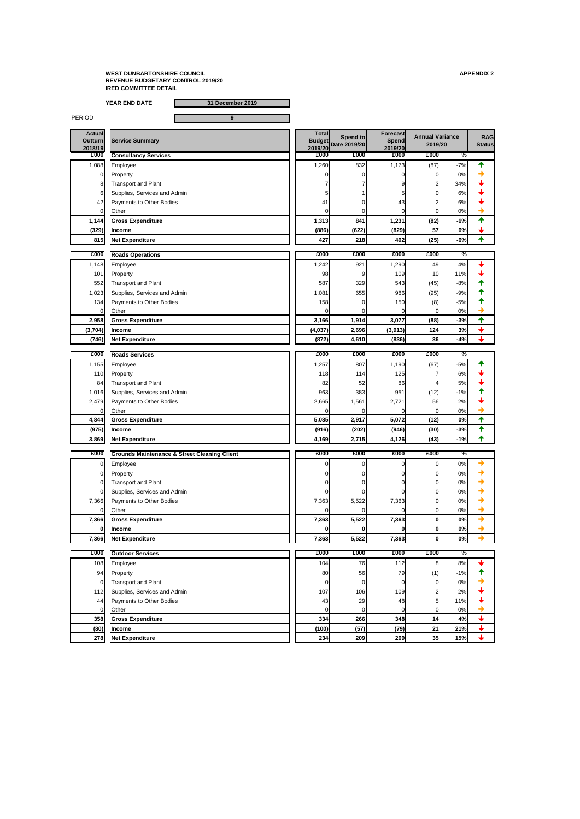**YEAR END DATE 31 December 2019**

PERIOD **9** 

| <b>Actual</b><br><b>Outturn</b><br>2018/19 | <b>Service Summary</b>       | <b>Total</b><br><b>Budget</b><br>2019/20 | Spend to<br>Date 2019/20 | Forecast<br>Spend<br>2019/20 | <b>Annual Variance</b><br>2019/20 |                | <b>RAG</b><br><b>Status</b> |
|--------------------------------------------|------------------------------|------------------------------------------|--------------------------|------------------------------|-----------------------------------|----------------|-----------------------------|
| £000                                       | <b>Consultancy Services</b>  | £000                                     | £000                     | £000                         | £000                              | %              |                             |
| 1,088                                      | Employee                     | 1,260                                    | 832                      | 1,173                        | (87)                              | $-7%$          |                             |
| $\overline{0}$                             | Property                     |                                          |                          |                              | $\Omega$                          | 0%             |                             |
| 8 <sup>1</sup>                             | Transport and Plant          |                                          |                          |                              | 2                                 | 34%            |                             |
| 6                                          | Supplies, Services and Admin |                                          |                          |                              | 0                                 | 6%             |                             |
| 42                                         | Payments to Other Bodies     | 41                                       |                          | 43                           |                                   | 6%             |                             |
| $\overline{0}$                             | <b>Other</b>                 |                                          |                          |                              | $\Omega$                          | 0%             |                             |
| 1,144                                      | <b>Gross Expenditure</b>     | 1,313                                    | 841                      | 1,231                        | (82)                              | $-6%$          | $\blacklozenge$             |
| (329)                                      | <b>Income</b>                | (886)                                    | (622)                    | (829)                        | 57                                | 6%             | $\bigstar$                  |
| 815                                        | <b>Net Expenditure</b>       | 427                                      | 218                      | 402                          | (25)                              | $-6%$          | 个                           |
|                                            |                              |                                          |                          |                              |                                   |                |                             |
| £000                                       | <b>Roads Operations</b>      | £000                                     | £000                     | £000                         | £000                              | $\frac{9}{6}$  |                             |
| 1,148                                      | Employee                     | 1,242                                    | 921                      | 1,290                        | 49                                | 4%             |                             |
| 101                                        | Property                     | 98                                       |                          | 109                          | 10                                | 11%            |                             |
| 552                                        | <b>Transport and Plant</b>   | 587                                      | 329                      | 543                          | (45)                              | $-8%$          |                             |
| 1,023                                      | Supplies, Services and Admin | 1,081                                    | 655                      | 986                          | (95)                              | $-9%$          |                             |
| 134                                        | Payments to Other Bodies     | 158                                      |                          | 150                          | (8)                               | $-5%$          |                             |
| $\Omega$                                   | Other                        | 0                                        |                          |                              | 0                                 | 0%             |                             |
| 2,958                                      | <b>Gross Expenditure</b>     | 3,166                                    | 1,914                    | 3,077                        | (88)                              | $-3%$          | 个                           |
| (3,704)                                    | <b>Income</b>                | (4,037)                                  | 2,696                    | (3, 913)                     | 124                               | 3%             | $\color{red} \blacklozenge$ |
|                                            | (746) Net Expenditure        | (872)                                    | 4,610                    | (836)                        | 36                                | $-4%$          |                             |
|                                            |                              |                                          |                          |                              |                                   |                |                             |
| £000                                       | <b>Roads Services</b>        | £000                                     | £000                     | £000                         | £000                              | ℅              |                             |
| 1,155                                      | Employee                     | 1,257                                    | 807                      | 1,190                        | (67)                              | $-5%$          |                             |
| 110                                        | Property                     | 118                                      | 114                      | 125                          |                                   | 6%             |                             |
| 84                                         | Transport and Plant          | 82                                       | 52                       | 86                           |                                   | 5%             |                             |
| 1,016                                      | Supplies, Services and Admin | 963                                      | 383                      | 951                          | (12)                              | $-1%$          |                             |
| 2,479                                      | Payments to Other Bodies     | 2,665                                    | 1,561                    | 2,721                        | 56                                | 2%             |                             |
| 0                                          | Other                        | $\Omega$                                 | 0                        |                              | $\Omega$                          | 0%             |                             |
| 4,844                                      | <b>Gross Expenditure</b>     | 5,085                                    | 2,917                    | 5,072                        | (12)                              | 0%             | 个                           |
| $\sqrt{2}$                                 |                              | (0.40)                                   | (0.00)                   | (0.10)                       | $\sqrt{2}$                        | 0 <sup>0</sup> |                             |

| (9/5) | <b>HINCOME</b>                  | <b>(YID)</b> | (202)I      | (Y40)I | (30)      | -3% -             |  |
|-------|---------------------------------|--------------|-------------|--------|-----------|-------------------|--|
| 3,869 | .<br><b>INet</b><br>Expenditure | 4,169        | 715)<br>. . | 4,126  | (43)<br>. | <b>40</b><br>70 I |  |

| £000           | <b>Grounds Maintenance &amp; Street Cleaning Client</b> | £000  | £000  | £000  | £000 | $\frac{1}{2}$ |  |
|----------------|---------------------------------------------------------|-------|-------|-------|------|---------------|--|
| $\mathbf{0}$   | Employee                                                |       |       |       |      | 0%            |  |
| $\overline{0}$ | Property                                                |       |       |       |      | 0%            |  |
| $\mathbf{0}$   | <b>Transport and Plant</b>                              |       |       |       |      | 0%            |  |
| Οl             | Supplies, Services and Admin                            |       |       |       |      | 0%            |  |
| 7,366          | <b>Payments to Other Bodies</b>                         | 7,363 | 5,522 | 7,363 |      | 0%            |  |
| $\mathbf{0}$   | <b>Other</b>                                            |       |       |       |      | 0%            |  |
| 7,366          | <b>Gross Expenditure</b>                                | 7,363 | 5,522 | 7,363 |      | 0%            |  |
| $\mathbf{0}$   | <b>Income</b>                                           |       |       |       |      | 0%            |  |
| 7,366          | Net Expenditure                                         | 7,363 | 5,522 | 7,363 |      | 0%            |  |

| £000           | <b>Outdoor Services</b>         | £000  | £000 | £000 | £000            | $\%$  |  |
|----------------|---------------------------------|-------|------|------|-----------------|-------|--|
| 108            | Employee                        | 104   | 76   | 112  | 8               | 8%    |  |
| 94             | Property                        | 80    | 56   | 79   | (1)             | $-1%$ |  |
| $\overline{0}$ | Transport and Plant             |       |      |      |                 | 0%    |  |
| 112            | Supplies, Services and Admin    | 107   | 106  | 109  |                 | 2%    |  |
| 44             | <b>Payments to Other Bodies</b> | 43    | 29   | 48   |                 | 11%   |  |
|                | <b>Other</b>                    |       |      |      |                 | 0%    |  |
| 358            | <b>Gross Expenditure</b>        | 334   | 266  | 348  | 14 <sub>1</sub> | 4%    |  |
| (80)           | <b>Income</b>                   | (100) | (57) | (79) | 21              | 21%   |  |
| 278            | Net Expenditure                 | 234   | 209  | 269  | 35              | 15%   |  |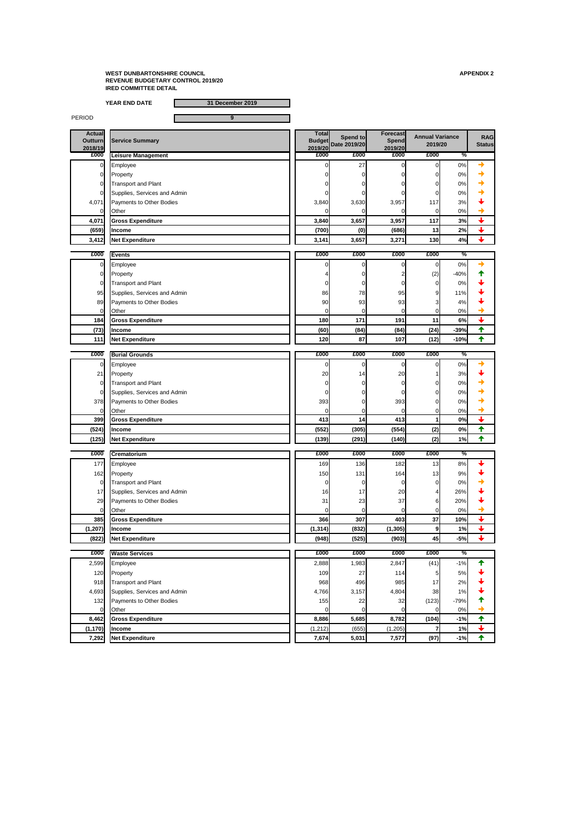**YEAR END DATE 31 December 2019**

PERIOD **9** 

| <b>Actual</b><br><b>Outturn</b><br>2018/19 | <b>Service Summary</b>       | <b>Total</b><br><b>Budget</b><br>2019/20 | Spend to<br>Date 2019/20 | <b>Forecast</b><br><b>Spend</b><br>2019/20 | <b>Annual Variance</b><br>2019/20 |               | <b>RAG</b><br><b>Status</b> |
|--------------------------------------------|------------------------------|------------------------------------------|--------------------------|--------------------------------------------|-----------------------------------|---------------|-----------------------------|
| £000                                       | Leisure Management           | £000                                     | £000                     | £000                                       | £000                              | $\%$          |                             |
| $\overline{0}$                             | Employee                     |                                          | 27                       |                                            | $\mathbf 0$                       | 0%            |                             |
| 0l                                         | Property                     |                                          |                          |                                            |                                   | 0%            |                             |
|                                            | <b>Transport and Plant</b>   |                                          |                          |                                            | O                                 | 0%            |                             |
|                                            | Supplies, Services and Admin |                                          |                          |                                            |                                   | 0%            |                             |
| 4,071                                      | Payments to Other Bodies     | 3,840                                    | 3,630                    | 3,957                                      | 117                               | 3%            |                             |
|                                            | Other                        |                                          |                          |                                            | $\overline{0}$                    | 0%            |                             |
| 4,071                                      | <b>Gross Expenditure</b>     | 3,840                                    | 3,657                    | 3,957                                      | 117                               | 3%            | $\color{red} \downarrow$    |
| (659)                                      | <b>Income</b>                | (700)                                    | (0)                      | (686)                                      | 13                                | 2%            |                             |
| 3,412                                      | Net Expenditure              | 3,141                                    | 3,657                    | 3,271                                      | 130                               | 4%            | $\downarrow$                |
|                                            |                              |                                          |                          |                                            |                                   |               |                             |
| £000                                       | <b>Events</b>                | £000                                     | £000                     | £000                                       | £000                              | $\frac{9}{6}$ |                             |
| 0                                          | Employee                     |                                          |                          |                                            | 0                                 | 0%            |                             |
| 0l                                         | Property                     |                                          |                          |                                            | (2)                               | $-40%$        |                             |
| 0                                          | <b>Transport and Plant</b>   |                                          |                          |                                            | 0                                 | 0%            |                             |
| 95                                         | Supplies, Services and Admin | 86                                       | 78                       | 95                                         | 9                                 | 11%           |                             |
| 89                                         | Payments to Other Bodies     | 90                                       | 93                       | 93                                         | 3                                 | 4%            |                             |
|                                            | Other                        |                                          | 0                        |                                            | $\overline{0}$                    | 0%            |                             |
| 184                                        | <b>Gross Expenditure</b>     | <b>180</b>                               | 171                      | 191                                        | 11                                | 6%            |                             |
| (73)                                       | <b>Income</b>                | (60)                                     | (84)                     | (84)                                       | (24)                              | $-39%$        | ✦                           |
| 111                                        | Net Expenditure              | 120                                      | 87                       | 107                                        | (12)                              | $-10%$        |                             |
| £000                                       | <b>Burial Grounds</b>        | £000                                     | £000                     | £000                                       | £000                              | $\%$          |                             |
|                                            |                              |                                          |                          |                                            |                                   |               |                             |
|                                            | Employee                     |                                          |                          |                                            | 0                                 | 0%            |                             |
| 21                                         | Property                     | 20                                       | 14                       | 20                                         |                                   | 3%            |                             |
| $\Omega$                                   | Transport and Plant          |                                          |                          |                                            | 0                                 | 0%            |                             |
|                                            | Supplies, Services and Admin |                                          |                          |                                            |                                   | 0%            |                             |
| 378                                        | Payments to Other Bodies     | 393                                      |                          | 393                                        |                                   | 0%            |                             |
|                                            | Other                        |                                          |                          |                                            | 0                                 | 0%            |                             |
| 399                                        | <b>Gross Expenditure</b>     | 413                                      | 14                       | 413                                        | 1                                 | 0%            | $\color{red} \downarrow$    |

| (524) | <b>Ilncome</b>  | (552) | (305) | $I = I$<br>(554)1 | $\sim$<br>$\left( 2\right)$ | 0% |  |
|-------|-----------------|-------|-------|-------------------|-----------------------------|----|--|
| (125) | Net Expenditure | (139) | (291) | 140)              | $\sim$<br>14 L              | 1% |  |

| £000           | <b>Crematorium</b>              | £000     | £000            | £000     | £000            | $\frac{1}{2}$ |  |
|----------------|---------------------------------|----------|-----------------|----------|-----------------|---------------|--|
| 177            | Employee                        | 169      | 136             | 182      | 13 <sub>1</sub> | 8%            |  |
| 162            | Property                        | 150      | 131             | 164      | 13              | 9%            |  |
| $\overline{O}$ | <b>Transport and Plant</b>      |          |                 |          |                 | 0%            |  |
| 17             | Supplies, Services and Admin    | 16       | 17 <sup>1</sup> | 20       |                 | 26%           |  |
| 29             | <b>Payments to Other Bodies</b> | 31       | 23              | 37       |                 | 20%           |  |
| $\overline{O}$ | <b>Other</b>                    |          |                 |          |                 | 0%            |  |
| 385            | <b>Gross Expenditure</b>        | 366      | 307             | 403      | 37              | 10%           |  |
| (1, 207)       | <b>Income</b>                   | (1, 314) | (832)           | (1, 305) |                 | 1%            |  |
| (822)          | Net Expenditure                 | (948)    | (525)           | (903)    | 45              | $-5%$         |  |

| £000           | <b>Waste Services</b>           | £000     | £000  | £000     | £000  | $\overline{\%}$ |  |
|----------------|---------------------------------|----------|-------|----------|-------|-----------------|--|
| 2,599          | Employee                        | 2,888    | ,983  | 2,847    | (41)  | $-1%$           |  |
| 120            | Property                        | 109      | 27    | 114      | 5     | 5%              |  |
| 918            | <b>Transport and Plant</b>      | 968      | 496   | 985      | 17    | 2%              |  |
| 4,693          | Supplies, Services and Admin    | 4,766    | 3,157 | 4,804    | 38    | $1\%$           |  |
| 132            | <b>Payments to Other Bodies</b> | 155      | 22    | 32       | (123) | $-79%$          |  |
| $\overline{0}$ | Other                           |          |       |          |       | 0%              |  |
| 8,462          | <b>Gross Expenditure</b>        | 8,886    | 5,685 | 8,782    | (104) | $-1%$           |  |
| (1, 170)       | <b>Income</b>                   | (1, 212) | (655) | (1, 205) |       | 1%              |  |
| 7,292          | Net Expenditure                 | 7,674    | 5,031 | 7,577    | (97)  | $-1%$           |  |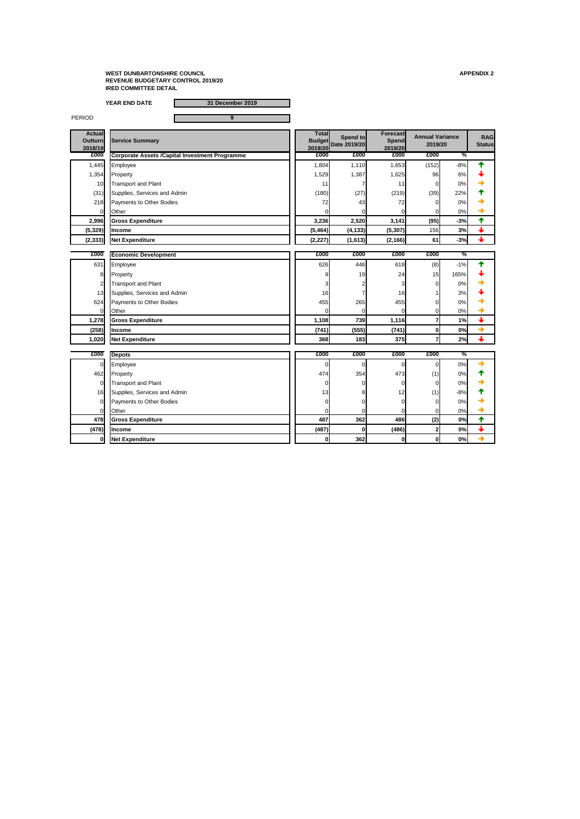**YEAR END DATE 31 December 2019**

PERIOD **9** 

| <b>Actual</b><br><b>Outturn</b><br>2018/19 | <b>Service Summary</b>                                 | <b>Total</b><br>2019/20 | Spend to<br>Budget Date 2019/20 | <b>Forecast</b><br>Spend<br>2019/20 | <b>Annual Variance</b><br>2019/20 |               | <b>RAG</b><br><b>Status</b> |
|--------------------------------------------|--------------------------------------------------------|-------------------------|---------------------------------|-------------------------------------|-----------------------------------|---------------|-----------------------------|
| £000                                       | <b>Corporate Assets / Capital Investment Programme</b> | £000                    | £000                            | £000                                | £000                              | $\frac{0}{2}$ |                             |
| 1,445                                      | Employee                                               | 1,804                   | 1,110                           | 1,653                               | (152)                             | $-8%$         | ╇                           |
| 1,354                                      | Property                                               | 1,529                   | 1,387                           | 1,625                               | 96                                | 6%            |                             |
| 10                                         | <b>Transport and Plant</b>                             | 11                      |                                 | 11                                  | 0                                 | 0%            |                             |
| (31)                                       | Supplies, Services and Admin                           | (180)                   | (27)                            | (219)                               | (39)                              | 22%           |                             |
| 218                                        | Payments to Other Bodies                               | 72                      | 43                              | 72                                  |                                   | 0%            |                             |
| $\Omega$                                   | Other                                                  |                         |                                 |                                     |                                   | 0%            |                             |
| 2,996                                      | <b>Gross Expenditure</b>                               | 3,236                   | 2,520                           | 3,141                               | (95)                              | $-3%$         | $\biguparrow$               |
| (5, 329)                                   | Income                                                 | (5, 464)                | (4, 133)                        | (5, 307)                            | 156                               | 3%            | $\color{red} \downarrow$    |
| (2, 333)                                   | <b>Net Expenditure</b>                                 | (2, 227)                | (1,613)                         | (2, 166)                            | 61                                | $-3%$         | $\overline{\phantom{a}}$    |
|                                            |                                                        |                         |                                 |                                     |                                   |               |                             |
| £000                                       | <b>Economic Development</b>                            | £000                    | £000                            | £000                                | £000                              | $\frac{0}{2}$ |                             |
| 631                                        | Employee                                               | 626                     | 446                             | 618                                 | (8)                               | $-1%$         |                             |
| 8                                          | Property                                               |                         | 19                              | 24                                  | 15                                | 165%          |                             |
| 2                                          | <b>Transport and Plant</b>                             |                         |                                 |                                     |                                   | 0%            |                             |
| 13                                         | Supplies, Services and Admin                           | 16                      |                                 | 16                                  |                                   | 3%            |                             |
| 624                                        | Payments to Other Bodies                               | 455                     | 265                             | 455                                 |                                   | 0%            |                             |
| 0                                          | Other                                                  |                         |                                 | $\Omega$                            | $\mathbf 0$                       | 0%            |                             |
| 1,278                                      | <b>Gross Expenditure</b>                               | 1,108                   | 739                             | 1,116                               | $\overline{7}$                    | 1%            | $\overline{\mathbf{t}}$     |
| (258)                                      | Income                                                 | (741)                   | (555)                           | (741)                               | $\boldsymbol{0}$                  | 0%            | $\rightarrow$               |
| 1,020                                      | Net Expenditure                                        | 368                     | 183                             | 375                                 | $\overline{\mathbf{7}}$           | 2%            |                             |
| £000                                       |                                                        | £000                    | £000                            | £000                                | £000                              | $\frac{0}{2}$ |                             |
|                                            | <b>Depots</b>                                          |                         |                                 |                                     |                                   |               |                             |
| 0                                          | Employee                                               |                         |                                 |                                     | $\Omega$                          | 0%            |                             |
| 462                                        | Property                                               | 474                     | 354                             | 473                                 | (1)                               | 0%            |                             |
| 0                                          | <b>Transport and Plant</b>                             |                         |                                 |                                     |                                   | 0%            |                             |
| 16                                         | Supplies, Services and Admin                           | 13                      |                                 | 12                                  | (1)                               | $-8%$         |                             |
| $\Omega$                                   | Payments to Other Bodies                               |                         |                                 |                                     | 0                                 | 0%            |                             |
|                                            | Other                                                  |                         |                                 |                                     |                                   | 0%            |                             |
| 478                                        | <b>Gross Expenditure</b>                               | 487                     | 362                             | 486                                 | (2)                               | 0%            | ✦                           |

| 1701<br>(4/8) | <b>Ilncome</b>       | $\overline{a}$<br>т. | OI  | (486) | 0% |  |
|---------------|----------------------|----------------------|-----|-------|----|--|
| 0             | enditure<br>ш<br>. . |                      | 362 | 0     | 0% |  |
|               |                      |                      |     |       |    |  |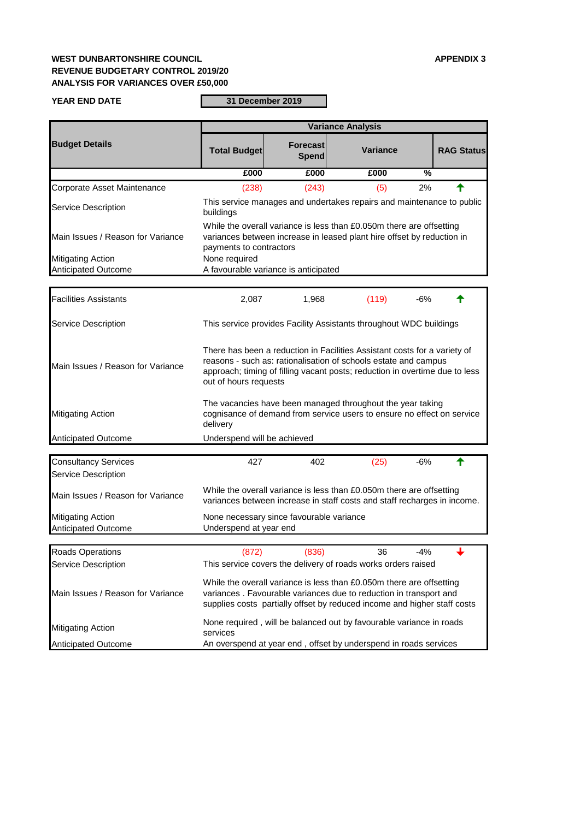## **WEST DUNBARTONSHIRE COUNCIL APPENDIX 3 REVENUE BUDGETARY CONTROL 2019/20 ANALYSIS FOR VARIANCES OVER £50,000**

**YEAR END DATE**

**31 December 2019**

|                                                           |                                                                                                                                                                                                                                                      |                                                                                                                                                                                                                                                                                        | <b>Variance Analysis</b> |                          |                   |  |  |  |
|-----------------------------------------------------------|------------------------------------------------------------------------------------------------------------------------------------------------------------------------------------------------------------------------------------------------------|----------------------------------------------------------------------------------------------------------------------------------------------------------------------------------------------------------------------------------------------------------------------------------------|--------------------------|--------------------------|-------------------|--|--|--|
| <b>Budget Details</b>                                     | <b>Total Budget</b>                                                                                                                                                                                                                                  | Forecast<br><b>Spend</b>                                                                                                                                                                                                                                                               | <b>Variance</b>          |                          | <b>RAG Status</b> |  |  |  |
|                                                           | £000                                                                                                                                                                                                                                                 | £000                                                                                                                                                                                                                                                                                   | £000                     | $\overline{\frac{9}{6}}$ |                   |  |  |  |
| Corporate Asset Maintenance                               | (238)                                                                                                                                                                                                                                                | (243)                                                                                                                                                                                                                                                                                  | (5)                      | 2%                       |                   |  |  |  |
| <b>Service Description</b>                                | buildings                                                                                                                                                                                                                                            | This service manages and undertakes repairs and maintenance to public                                                                                                                                                                                                                  |                          |                          |                   |  |  |  |
| Main Issues / Reason for Variance                         |                                                                                                                                                                                                                                                      | While the overall variance is less than £0.050m there are offsetting<br>variances between increase in leased plant hire offset by reduction in<br>payments to contractors                                                                                                              |                          |                          |                   |  |  |  |
| <b>Mitigating Action</b>                                  | None required                                                                                                                                                                                                                                        |                                                                                                                                                                                                                                                                                        |                          |                          |                   |  |  |  |
| <b>Anticipated Outcome</b>                                |                                                                                                                                                                                                                                                      | A favourable variance is anticipated                                                                                                                                                                                                                                                   |                          |                          |                   |  |  |  |
|                                                           |                                                                                                                                                                                                                                                      |                                                                                                                                                                                                                                                                                        |                          |                          |                   |  |  |  |
| <b>Facilities Assistants</b>                              | 2,087                                                                                                                                                                                                                                                | 1,968                                                                                                                                                                                                                                                                                  | (119)                    | $-6%$                    |                   |  |  |  |
| <b>Service Description</b>                                |                                                                                                                                                                                                                                                      | This service provides Facility Assistants throughout WDC buildings                                                                                                                                                                                                                     |                          |                          |                   |  |  |  |
| Main Issues / Reason for Variance                         | There has been a reduction in Facilities Assistant costs for a variety of<br>reasons - such as: rationalisation of schools estate and campus<br>approach; timing of filling vacant posts; reduction in overtime due to less<br>out of hours requests |                                                                                                                                                                                                                                                                                        |                          |                          |                   |  |  |  |
| <b>Mitigating Action</b>                                  | delivery                                                                                                                                                                                                                                             | The vacancies have been managed throughout the year taking<br>cognisance of demand from service users to ensure no effect on service                                                                                                                                                   |                          |                          |                   |  |  |  |
| <b>Anticipated Outcome</b>                                | Underspend will be achieved                                                                                                                                                                                                                          |                                                                                                                                                                                                                                                                                        |                          |                          |                   |  |  |  |
| <b>Consultancy Services</b><br><b>Service Description</b> | 427                                                                                                                                                                                                                                                  | 402                                                                                                                                                                                                                                                                                    | (25)                     | $-6%$                    |                   |  |  |  |
| Main Issues / Reason for Variance                         |                                                                                                                                                                                                                                                      | While the overall variance is less than £0.050m there are offsetting<br>variances between increase in staff costs and staff recharges in income.                                                                                                                                       |                          |                          |                   |  |  |  |
| <b>Mitigating Action</b><br><b>Anticipated Outcome</b>    | Underspend at year end                                                                                                                                                                                                                               | None necessary since favourable variance                                                                                                                                                                                                                                               |                          |                          |                   |  |  |  |
|                                                           |                                                                                                                                                                                                                                                      |                                                                                                                                                                                                                                                                                        |                          |                          |                   |  |  |  |
| <b>Roads Operations</b><br><b>Service Description</b>     | (872)                                                                                                                                                                                                                                                | (836)                                                                                                                                                                                                                                                                                  | 36                       | $-4%$                    |                   |  |  |  |
| Main Issues / Reason for Variance                         |                                                                                                                                                                                                                                                      | This service covers the delivery of roads works orders raised<br>While the overall variance is less than £0.050m there are offsetting<br>variances. Favourable variances due to reduction in transport and<br>supplies costs partially offset by reduced income and higher staff costs |                          |                          |                   |  |  |  |
| <b>Mitigating Action</b>                                  | services                                                                                                                                                                                                                                             | None required, will be balanced out by favourable variance in roads                                                                                                                                                                                                                    |                          |                          |                   |  |  |  |
| <b>Anticipated Outcome</b>                                |                                                                                                                                                                                                                                                      | An overspend at year end, offset by underspend in roads services                                                                                                                                                                                                                       |                          |                          |                   |  |  |  |

|  | <b>Anticipated Outcome</b> | An overspend at year end, offset by underspend in roads services |
|--|----------------------------|------------------------------------------------------------------|
|--|----------------------------|------------------------------------------------------------------|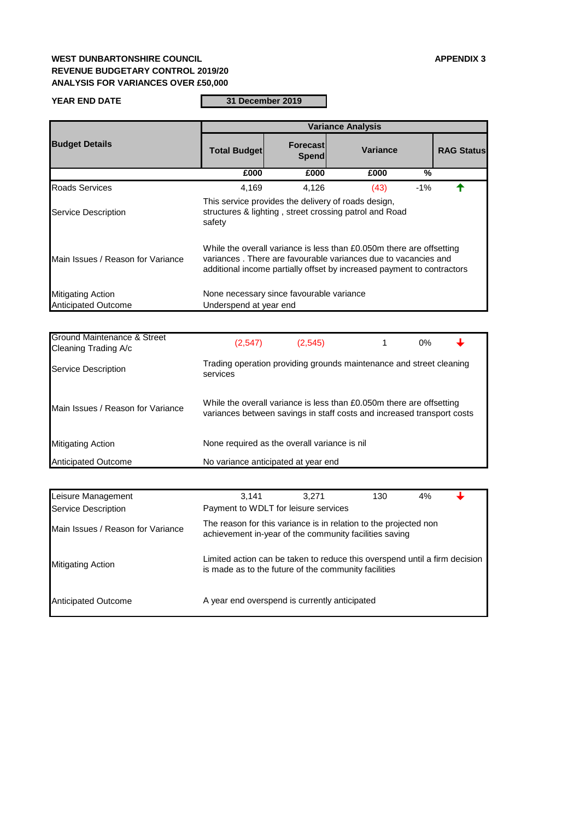# **WEST DUNBARTONSHIRE COUNCIL APPENDIX 3 REVENUE BUDGETARY CONTROL 2019/20 ANALYSIS FOR VARIANCES OVER £50,000**

#### **YEAR END DATE**

**31 December 2019**

| <b>Ground Maintenance &amp; Street</b><br>Cleaning Trading A/c | (2,547)                                                                                                                                        | (2, 545) | $0\%$ |  |
|----------------------------------------------------------------|------------------------------------------------------------------------------------------------------------------------------------------------|----------|-------|--|
| <b>Service Description</b>                                     | Trading operation providing grounds maintenance and street cleaning<br>services                                                                |          |       |  |
| Main Issues / Reason for Variance                              | While the overall variance is less than £0.050m there are offsetting<br>variances between savings in staff costs and increased transport costs |          |       |  |
| <b>Mitigating Action</b>                                       | None required as the overall variance is nil                                                                                                   |          |       |  |
| <b>Anticipated Outcome</b>                                     | No variance anticipated at year end                                                                                                            |          |       |  |

|                                                        | <b>Variance Analysis</b>                                                                                                                                                                                         |                                          |                 |               |                   |  |  |
|--------------------------------------------------------|------------------------------------------------------------------------------------------------------------------------------------------------------------------------------------------------------------------|------------------------------------------|-----------------|---------------|-------------------|--|--|
| <b>Budget Details</b>                                  | <b>Total Budget</b>                                                                                                                                                                                              | <b>Forecast</b><br><b>Spend</b>          | <b>Variance</b> |               | <b>RAG Status</b> |  |  |
|                                                        | £000                                                                                                                                                                                                             | £000                                     | £000            | $\frac{0}{0}$ |                   |  |  |
| <b>Roads Services</b>                                  | 4,169                                                                                                                                                                                                            | 4,126                                    | (43)            | $-1%$         |                   |  |  |
| <b>Service Description</b>                             | This service provides the delivery of roads design,<br>structures & lighting, street crossing patrol and Road<br>safety                                                                                          |                                          |                 |               |                   |  |  |
| Main Issues / Reason for Variance                      | While the overall variance is less than £0.050m there are offsetting<br>variances. There are favourable variances due to vacancies and<br>additional income partially offset by increased payment to contractors |                                          |                 |               |                   |  |  |
| <b>Mitigating Action</b><br><b>Anticipated Outcome</b> | Underspend at year end                                                                                                                                                                                           | None necessary since favourable variance |                 |               |                   |  |  |

| Leisure Management                | 3.141                                                                                                                              | 3,271 | 130 | 4% |  |
|-----------------------------------|------------------------------------------------------------------------------------------------------------------------------------|-------|-----|----|--|
| Service Description               | Payment to WDLT for leisure services                                                                                               |       |     |    |  |
| Main Issues / Reason for Variance | The reason for this variance is in relation to the projected non<br>achievement in-year of the community facilities saving         |       |     |    |  |
| <b>Mitigating Action</b>          | Limited action can be taken to reduce this overspend until a firm decision<br>is made as to the future of the community facilities |       |     |    |  |
| <b>Anticipated Outcome</b>        | A year end overspend is currently anticipated                                                                                      |       |     |    |  |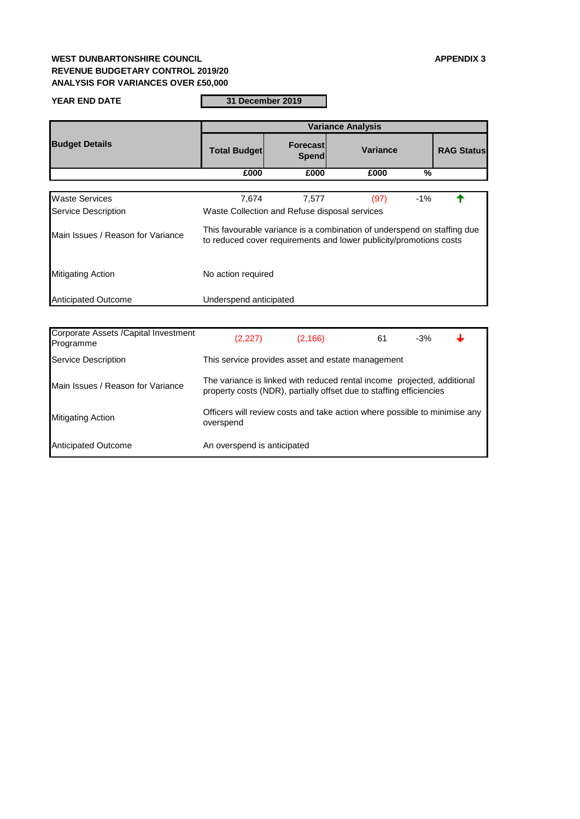## **WEST DUNBARTONSHIRE COUNCIL APPENDIX 3 REVENUE BUDGETARY CONTROL 2019/20 ANALYSIS FOR VARIANCES OVER £50,000**

#### **YEAR END DATE**

**31 December 2019**

|                                   | <b>Variance Analysis</b>                                                                                                                      |                                               |      |                 |  |  |  |
|-----------------------------------|-----------------------------------------------------------------------------------------------------------------------------------------------|-----------------------------------------------|------|-----------------|--|--|--|
| <b>Budget Details</b>             | <b>Total Budget</b>                                                                                                                           | <b>Forecast</b><br>Spend                      |      | <b>Variance</b> |  |  |  |
|                                   | £000                                                                                                                                          | £000                                          | £000 | $\frac{0}{0}$   |  |  |  |
|                                   |                                                                                                                                               |                                               |      |                 |  |  |  |
| <b>Waste Services</b>             | 7,674                                                                                                                                         | 7,577                                         | (97) | $-1\%$          |  |  |  |
| <b>Service Description</b>        |                                                                                                                                               | Waste Collection and Refuse disposal services |      |                 |  |  |  |
| Main Issues / Reason for Variance | This favourable variance is a combination of underspend on staffing due<br>to reduced cover requirements and lower publicity/promotions costs |                                               |      |                 |  |  |  |
| <b>Mitigating Action</b>          | No action required                                                                                                                            |                                               |      |                 |  |  |  |
| <b>Anticipated Outcome</b>        | Underspend anticipated                                                                                                                        |                                               |      |                 |  |  |  |

| Corporate Assets / Capital Investment<br>Programme | (2,227)                                                                                                                                        | (2, 166)                                          | 61 | $-3%$ |  |  |  |  |
|----------------------------------------------------|------------------------------------------------------------------------------------------------------------------------------------------------|---------------------------------------------------|----|-------|--|--|--|--|
| <b>Service Description</b>                         |                                                                                                                                                | This service provides asset and estate management |    |       |  |  |  |  |
| Main Issues / Reason for Variance                  | The variance is linked with reduced rental income projected, additional<br>property costs (NDR), partially offset due to staffing efficiencies |                                                   |    |       |  |  |  |  |
| <b>Mitigating Action</b>                           | Officers will review costs and take action where possible to minimise any<br>overspend                                                         |                                                   |    |       |  |  |  |  |
| <b>Anticipated Outcome</b>                         | An overspend is anticipated                                                                                                                    |                                                   |    |       |  |  |  |  |